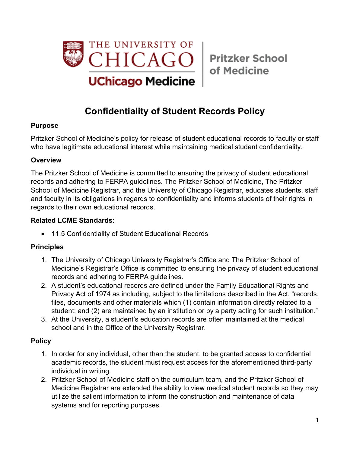

of Medicine

# **Confidentiality of Student Records Policy**

### **Purpose**

Pritzker School of Medicine's policy for release of student educational records to faculty or staff who have legitimate educational interest while maintaining medical student confidentiality.

#### **Overview**

The Pritzker School of Medicine is committed to ensuring the privacy of student educational records and adhering to FERPA guidelines. The Pritzker School of Medicine, The Pritzker School of Medicine Registrar, and the University of Chicago Registrar, educates students, staff and faculty in its obligations in regards to confidentiality and informs students of their rights in regards to their own educational records.

#### **Related LCME Standards:**

• 11.5 Confidentiality of Student Educational Records

#### **Principles**

- 1. The University of Chicago University Registrar's Office and The Pritzker School of Medicine's Registrar's Office is committed to ensuring the privacy of student educational records and adhering to FERPA guidelines.
- 2. A student's educational records are defined under the Family Educational Rights and Privacy Act of 1974 as including, subject to the limitations described in the Act, "records, files, documents and other materials which (1) contain information directly related to a student; and (2) are maintained by an institution or by a party acting for such institution."
- 3. At the University, a student's education records are often maintained at the medical school and in the Office of the University Registrar.

#### **Policy**

- 1. In order for any individual, other than the student, to be granted access to confidential academic records, the student must request access for the aforementioned third-party individual in writing.
- 2. Pritzker School of Medicine staff on the curriculum team, and the Pritzker School of Medicine Registrar are extended the ability to view medical student records so they may utilize the salient information to inform the construction and maintenance of data systems and for reporting purposes.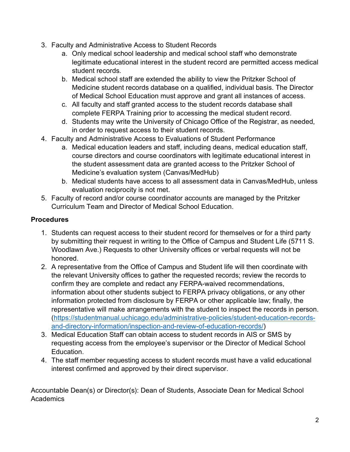- 3. Faculty and Administrative Access to Student Records
	- a. Only medical school leadership and medical school staff who demonstrate legitimate educational interest in the student record are permitted access medical student records.
	- b. Medical school staff are extended the ability to view the Pritzker School of Medicine student records database on a qualified, individual basis. The Director of Medical School Education must approve and grant all instances of access.
	- c. All faculty and staff granted access to the student records database shall complete FERPA Training prior to accessing the medical student record.
	- d. Students may write the University of Chicago Office of the Registrar, as needed, in order to request access to their student records.
- 4. Faculty and Administrative Access to Evaluations of Student Performance
	- a. Medical education leaders and staff, including deans, medical education staff, course directors and course coordinators with legitimate educational interest in the student assessment data are granted access to the Pritzker School of Medicine's evaluation system (Canvas/MedHub)
	- b. Medical students have access to all assessment data in Canvas/MedHub, unless evaluation reciprocity is not met.
- 5. Faculty of record and/or course coordinator accounts are managed by the Pritzker Curriculum Team and Director of Medical School Education.

## **Procedures**

- 1. Students can request access to their student record for themselves or for a third party by submitting their request in writing to the Office of Campus and Student Life (5711 S. Woodlawn Ave.) Requests to other University offices or verbal requests will not be honored.
- 2. A representative from the Office of Campus and Student life will then coordinate with the relevant University offices to gather the requested records; review the records to confirm they are complete and redact any FERPA-waived recommendations, information about other students subject to FERPA privacy obligations, or any other information protected from disclosure by FERPA or other applicable law; finally, the representative will make arrangements with the student to inspect the records in person. (https://studentmanual.uchicago.edu/administrative-policies/student-education-recordsand-directory-information/inspection-and-review-of-education-records/)
- 3. Medical Education Staff can obtain access to student records in AIS or SMS by requesting access from the employee's supervisor or the Director of Medical School Education.
- 4. The staff member requesting access to student records must have a valid educational interest confirmed and approved by their direct supervisor.

Accountable Dean(s) or Director(s): Dean of Students, Associate Dean for Medical School **Academics**